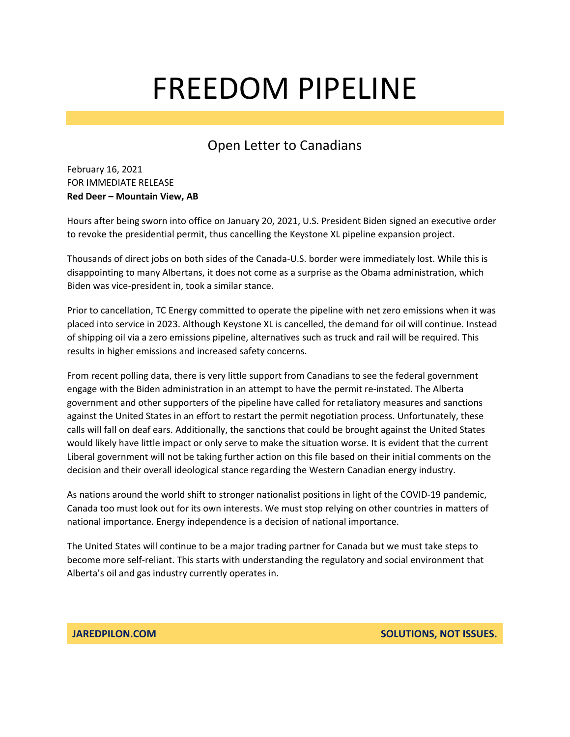#### Open Letter to Canadians

February 16, 2021 FOR IMMEDIATE RELEASE **Red Deer – Mountain View, AB**

Hours after being sworn into office on January 20, 2021, U.S. President Biden signed an executive order to revoke the presidential permit, thus cancelling the Keystone XL pipeline expansion project.

Thousands of direct jobs on both sides of the Canada-U.S. border were immediately lost. While this is disappointing to many Albertans, it does not come as a surprise as the Obama administration, which Biden was vice-president in, took a similar stance.

Prior to cancellation, TC Energy committed to operate the pipeline with net zero emissions when it was placed into service in 2023. Although Keystone XL is cancelled, the demand for oil will continue. Instead of shipping oil via a zero emissions pipeline, alternatives such as truck and rail will be required. This results in higher emissions and increased safety concerns.

From recent polling data, there is very little support from Canadians to see the federal government engage with the Biden administration in an attempt to have the permit re-instated. The Alberta government and other supporters of the pipeline have called for retaliatory measures and sanctions against the United States in an effort to restart the permit negotiation process. Unfortunately, these calls will fall on deaf ears. Additionally, the sanctions that could be brought against the United States would likely have little impact or only serve to make the situation worse. It is evident that the current Liberal government will not be taking further action on this file based on their initial comments on the decision and their overall ideological stance regarding the Western Canadian energy industry.

As nations around the world shift to stronger nationalist positions in light of the COVID-19 pandemic, Canada too must look out for its own interests. We must stop relying on other countries in matters of national importance. Energy independence is a decision of national importance.

The United States will continue to be a major trading partner for Canada but we must take steps to become more self-reliant. This starts with understanding the regulatory and social environment that Alberta's oil and gas industry currently operates in.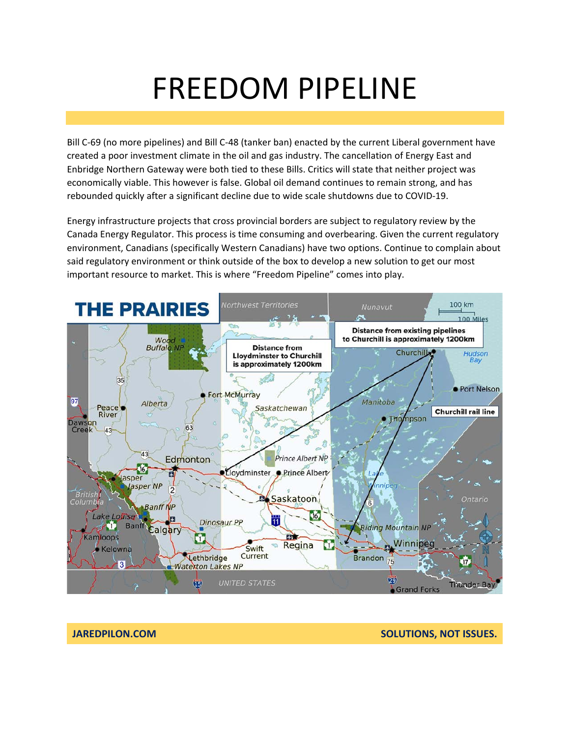Bill C-69 (no more pipelines) and Bill C-48 (tanker ban) enacted by the current Liberal government have created a poor investment climate in the oil and gas industry. The cancellation of Energy East and Enbridge Northern Gateway were both tied to these Bills. Critics will state that neither project was economically viable. This however is false. Global oil demand continues to remain strong, and has rebounded quickly after a significant decline due to wide scale shutdowns due to COVID-19.

Energy infrastructure projects that cross provincial borders are subject to regulatory review by the Canada Energy Regulator. This process is time consuming and overbearing. Given the current regulatory environment, Canadians (specifically Western Canadians) have two options. Continue to complain about said regulatory environment or think outside of the box to develop a new solution to get our most important resource to market. This is where "Freedom Pipeline" comes into play.



**JAREDPILON.COM SOLUTIONS, NOT ISSUES.**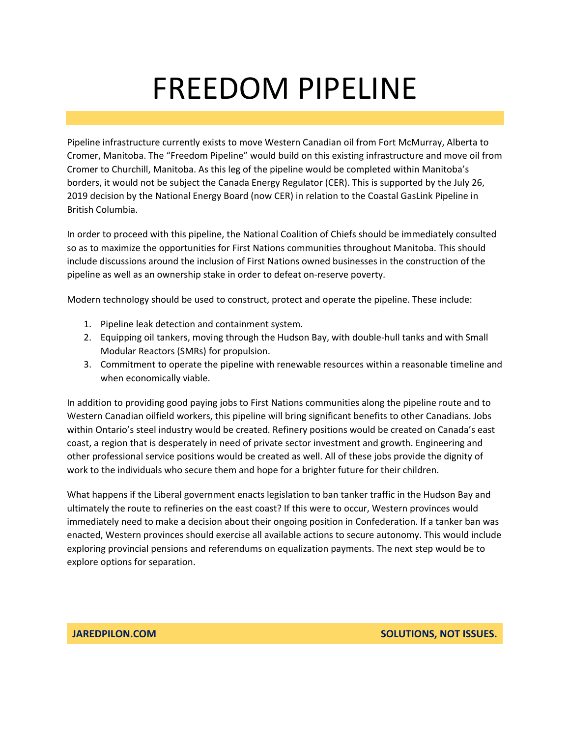Pipeline infrastructure currently exists to move Western Canadian oil from Fort McMurray, Alberta to Cromer, Manitoba. The "Freedom Pipeline" would build on this existing infrastructure and move oil from Cromer to Churchill, Manitoba. As this leg of the pipeline would be completed within Manitoba's borders, it would not be subject the Canada Energy Regulator (CER). This is supported by the July 26, 2019 decision by the National Energy Board (now CER) in relation to the Coastal GasLink Pipeline in British Columbia.

In order to proceed with this pipeline, the National Coalition of Chiefs should be immediately consulted so as to maximize the opportunities for First Nations communities throughout Manitoba. This should include discussions around the inclusion of First Nations owned businesses in the construction of the pipeline as well as an ownership stake in order to defeat on-reserve poverty.

Modern technology should be used to construct, protect and operate the pipeline. These include:

- 1. Pipeline leak detection and containment system.
- 2. Equipping oil tankers, moving through the Hudson Bay, with double-hull tanks and with Small Modular Reactors (SMRs) for propulsion.
- 3. Commitment to operate the pipeline with renewable resources within a reasonable timeline and when economically viable.

In addition to providing good paying jobs to First Nations communities along the pipeline route and to Western Canadian oilfield workers, this pipeline will bring significant benefits to other Canadians. Jobs within Ontario's steel industry would be created. Refinery positions would be created on Canada's east coast, a region that is desperately in need of private sector investment and growth. Engineering and other professional service positions would be created as well. All of these jobs provide the dignity of work to the individuals who secure them and hope for a brighter future for their children.

What happens if the Liberal government enacts legislation to ban tanker traffic in the Hudson Bay and ultimately the route to refineries on the east coast? If this were to occur, Western provinces would immediately need to make a decision about their ongoing position in Confederation. If a tanker ban was enacted, Western provinces should exercise all available actions to secure autonomy. This would include exploring provincial pensions and referendums on equalization payments. The next step would be to explore options for separation.